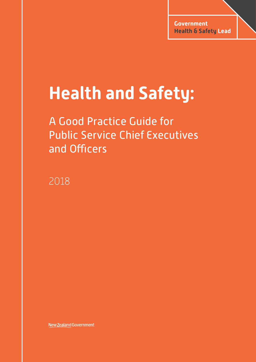# **Health and Safety:**

A Good Practice Guide for Public Service Chief Executives and Officers

2018

New Zealand Government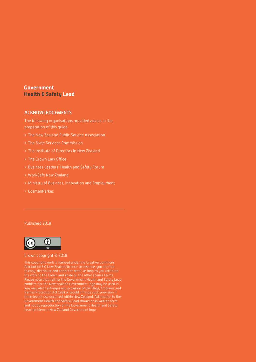## **Government Health & Safety Lead**

#### ACKNOWLEDGEMENTS

The following organisations provided advice in the preparation of this guide.

- > The New Zealand Public Service Association
- > The State Services Commission
- > The Institute of Directors in New Zealand
- > The Crown Law Office
- > Business Leaders' Health and Safety Forum
- > WorkSafe New Zealand
- > Ministry of Business, Innovation and Employment
- > CosmanParkes

#### Published 2018



#### Crown copyright © 2018

This copyright work is licensed under the Creative Commons Attribution 3.0 New Zealand licence. In essence, you are free to copy, distribute and adapt the work, as long as you attribute the work to the Crown and abide by the other licence terms. Please note that neither the Government Health and Safety Lead emblem nor the New Zealand Government logo may be used in any way which infringes any provision of the Flags, Emblems and Government Health and Safety Lead should be in written form and not by reproduction of the Government Health and Safety Lead emblem or New Zealand Government logo.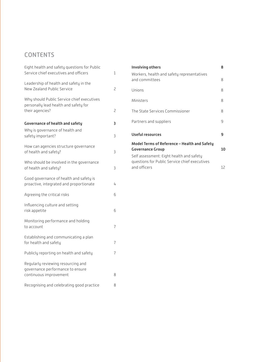# **CONTENTS**

| Eight health and safety questions for Public<br>Service chief executives and officers                  | 1              |
|--------------------------------------------------------------------------------------------------------|----------------|
| Leadership of health and safety in the<br>New Zealand Public Service                                   | 2              |
| Why should Public Service chief executives<br>personally lead health and safety for<br>their agencies? | 2              |
| <b>Governance of health and safety</b>                                                                 | 3              |
| Why is governance of health and<br>safety important?                                                   | 3              |
| How can agencies structure governance<br>of health and safety?                                         | 3              |
| Who should be involved in the governance<br>of health and safety?                                      | 3              |
| Good governance of health and safety is<br>proactive, integrated and proportionate                     | 4              |
| Agreeing the critical risks                                                                            | 6              |
| Influencing culture and setting<br>risk appetite                                                       | 6              |
| Monitoring performance and holding<br>to account                                                       | 7              |
| Establishing and communicating a plan<br>for health and safety                                         | 7              |
| Publicly reporting on health and safety                                                                | $\overline{7}$ |
| Regularly reviewing resourcing and<br>governance performance to ensure<br>continuous improvement       | 8              |
| Recognising and celebrating good practice                                                              | 8              |
|                                                                                                        |                |

| <b>Involving others</b>                                                                                   | 8  |
|-----------------------------------------------------------------------------------------------------------|----|
| Workers, health and safety representatives<br>and committees                                              | 8  |
| Unions                                                                                                    | 8  |
| Ministers                                                                                                 | 8  |
| The State Services Commissioner                                                                           | 8  |
| Partners and suppliers                                                                                    | 9  |
| <b>Useful resources</b>                                                                                   | 9  |
| Model Terms of Reference - Health and Safety<br><b>Governance Group</b>                                   | 10 |
| Self assessment: Eight health and safety<br>questions for Public Service chief executives<br>and officers | 12 |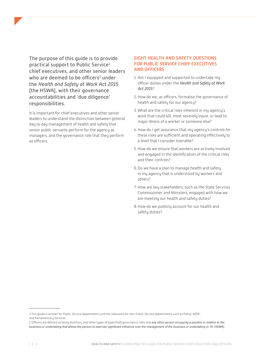<span id="page-3-0"></span>The purpose of this guide is to provide practical support to Public Service1 chief executives, and other senior leaders who are deemed to be officers<sup>2</sup> under the *Health and Safety at Work Act 2015* (the HSWA), with their governance accountabilities and 'due diligence' responsibilities.

It is important for chief executives and other senior leaders to understand the distinction between general day to day management of health and safety that senior public servants perform for the agency as managers, and the governance role that they perform as officers.

#### EIGHT HEALTH AND SAFETY QUESTIONS FOR PUBLIC SERVICE CHIEF EXECUTIVES AND OFFICERS

- 1. Am I equipped and supported to undertake my officer duties under the *Health and Safety at Work Act 2015*?
- 2.How do we, as officers, formalise the governance of health and safety for our agency?
- 3. What are the critical risks inherent in my agency's work that could kill, most severely injure, or lead to major illness of a worker or someone else?
- 4.How do I get assurance that my agency's controls for these risks are sufficient and operating effectively to a level that I consider tolerable?
- 5.How do we ensure that workers are actively involved and engaged in the identification of the critical risks and their controls?
- 6.Do we have a plan to manage health and safety in my agency that is understood by workers and others?
- 7. How are key stakeholders, such as the State Services Commissioner and Ministers, engaged with how we are meeting our health and safety duties?
- 8.How do we publicly account for our health and safety duties?

<sup>1</sup> This guide is written for Public Service departments and has relevance for non-Public Service departments such as Police, NZDF, and Parliamentary Services.

<sup>2</sup> Officers are defined as being directors, and other types of (specified) governance roles and *any other person occupying a position in relation to the business or undertaking that allows the person to exercise significant influence over the management of the business or undertaking (s 18, HSWA)*.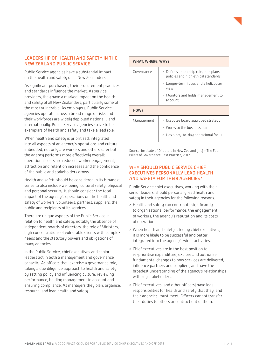#### <span id="page-4-0"></span>LEADERSHIP OF HEALTH AND SAFETY IN THE NEW ZEALAND PUBLIC SERVICE

Public Service agencies have a substantial impact on the health and safety of all New Zealanders.

As significant purchasers, their procurement practices and standards influence the market. As service providers, they have a marked impact on the health and safety of all New Zealanders, particularly some of the most vulnerable. As employers, Public Service agencies operate across a broad range of risks and their workforces are widely deployed nationally and internationally. Public Service agencies strive to be exemplars of health and safety and take a lead role.

When health and safety is prioritised, integrated into all aspects of an agency's operations and culturally imbedded, not only are workers and others safer but the agency performs more effectively overall; operational costs are reduced, worker engagement, attraction and retention increases and the confidence of the public and stakeholders grows.

Health and safety should be considered in its broadest sense to also include wellbeing, cultural safety, physical and personal security. It should consider the total impact of the agency's operations on the health and safety of workers, volunteers, partners, suppliers, the public and recipients of its services.

There are unique aspects of the Public Service in relation to health and safety, notably the absence of independent boards of directors, the role of Ministers, high concentrations of vulnerable clients with complex needs and the statutory powers and obligations of many agencies.

In the Public Service, chief executives and senior leaders act in both a management and governance capacity. As officers they exercise a governance role, taking a due diligence approach to health and safety by setting policy and influencing culture, reviewing performance, holding management to account and ensuring compliance. As managers they plan, organise, resource, and lead health and safety.

| WHAT, WHERE, WHY? |                                                                                                            |
|-------------------|------------------------------------------------------------------------------------------------------------|
| Governance        | > Defines leadership role, sets plans,<br>policies and high ethical standards                              |
|                   | > Longer-term focus and a helicopter<br>view                                                               |
|                   | > Monitors and holds management to<br>account                                                              |
| HOW?              |                                                                                                            |
| Management        | > Executes board approved strategy<br>> Works to the business plan<br>> Has a day-to-day operational focus |

Source: Institute of Directors in New Zealand (Inc) – The Four Pillars of Governance Best Practice, 2017.

#### WHY SHOULD PUBLIC SERVICE CHIEF EXECUTIVES PERSONALLY LEAD HEALTH AND SAFETY FOR THEIR AGENCIES?

Public Service chief executives, working with their senior leaders, should personally lead health and safety in their agencies for the following reasons.

- > Health and safety can contribute significantly to organisational performance, the engagement of workers, the agency's reputation and its costs of operation.
- > When health and safety is led by chief executives, it is more likely to be successful and better integrated into the agency's wider activities.
- > Chief executives are in the best position to re-prioritise expenditure, explore and authorise fundamental changes to how services are delivered, influence partners and suppliers, and have the broadest understanding of the agency's relationships with key stakeholders.
- > Chief executives (and other officers) have legal responsibilities for health and safety that they, and their agencies, must meet. Officers cannot transfer their duties to others or contract out of them.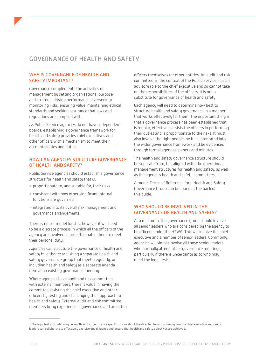## <span id="page-5-0"></span>GOVERNANCE OF HEALTH AND SAFETY

### WHY IS GOVERNANCE OF HEALTH AND SAFETY IMPORTANT?

Governance complements the activities of management by setting organisational purpose and strategy, driving performance, overseeing/ monitoring risks, ensuring value, maintaining ethical standards and seeking assurance that laws and regulations are complied with.

As Public Service agencies do not have independent boards, establishing a governance framework for health and safety provides chief executives and other officers with a mechanism to meet their accountabilities and duties.

### HOW CAN AGENCIES STRUCTURE GOVERNANCE OF HEALTH AND SAFETY?

Public Service agencies should establish a governance structure for health and safety that is:

- > proportionate to, and suitable for, their risks
- > consistent with how other significant internal functions are governed
- > integrated into its overall risk management and governance arrangements.

There is no set model for this, however it will need to be a discrete process in which all the officers of the agency are involved in order to enable them to meet their personal duty.

Agencies can structure the governance of health and safety by either establishing a separate health and safety governance group that meets regularly, or including health and safety as a separate agenda item at an existing governance meeting.

Where agencies have audit and risk committees with external members, there is value in having the committee assisting the chief executive and other officers by testing and challenging their approach to health and safety. External audit and risk committee members bring experience in governance and are often officers themselves for other entities. An audit and risk committee, in the context of the Public Service, has an advisory role to the chief executive and so cannot take on the responsibilities of the officers. It is not a substitute for governance of health and safety.

Each agency will need to determine how best to structure health and safety governance in a manner that works effectively for them. The important thing is that a governance process has been established that is regular, effectively assists the officers in performing their duties and is proportionate to the risks. It must also involve the right people, be fully integrated into the wider governance framework and be evidenced through formal agendas, papers and minutes.

The health and safety governance structure should be separate from, but aligned with, the operational management structures for health and safety, as well as the agency's health and safety committees.

A model Terms of Reference for a Health and Safety Governance Group can be found at the back of this guide.

### WHO SHOULD BE INVOLVED IN THE GOVERNANCE OF HEALTH AND SAFETY?

At a minimum, the governance group should involve all senior leaders who are considered by the agency to be officers under the HSWA. This will involve the chief executive and a number of senior leaders. Commonly, agencies will simply involve all those senior leaders who normally attend other governance meetings, particularly if there is uncertainty as to who may meet the legal test $3$ .

<sup>3</sup> The legal test as to who may be an officer is circumstance specific. Focus should be directed toward agreeing how the chief executive and senior leaders can collaborate to effectively exercise due diligence and ensure that health and safety objectives are achieved.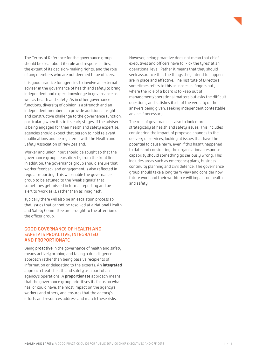<span id="page-6-0"></span>The Terms of Reference for the governance group should be clear about its role and responsibilities, the extent of its decision-making rights, and the role of any members who are not deemed to be officers.

It is good practice for agencies to involve an external adviser in the governance of health and safety to bring independent and expert knowledge in governance as well as health and safety. As in other governance functions, diversity of opinion is a strength and an independent member can provide additional insight and constructive challenge to the governance function, particularly when it is in its early stages. If the adviser is being engaged for their health and safety expertise, agencies should expect that person to hold relevant qualifications and be registered with the Health and Safety Association of New Zealand.

Worker and union input should be sought so that the governance group hears directly from the front line. In addition, the governance group should ensure that worker feedback and engagement is also reflected in regular reporting. This will enable the governance group to be attuned to the 'weak signals' that sometimes get missed in formal reporting and be alert to 'work as is, rather than as imagined'.

Typically there will also be an escalation process so that issues that cannot be resolved at a National Health and Safety Committee are brought to the attention of the officer group.

#### GOOD GOVERNANCE OF HEALTH AND SAFETY IS PROACTIVE, INTEGRATED AND PROPORTIONATE

Being **proactive** in the governance of health and safety means actively probing and taking a due diligence approach rather than being passive recipients of information or delegating to the experts. An **integrated** approach treats health and safety as a part of an agency's operations. A **proportionate** approach means that the governance group prioritises its focus on what has, or could have, the most impact on the agency's workers and others, and ensures that the agency's efforts and resources address and match these risks.

However, being proactive does not mean that chief executives and officers have to 'kick the tures' at an operational level. Rather it means that they should seek assurance that the things they intend to happen are in place and effective. The Institute of Directors sometimes refers to this as 'noses in, fingers out', where the role of a board is to keep out of management/operational matters but asks the difficult questions, and satisfies itself of the veracity of the answers being given, seeking independent contestable advice if necessary.

The role of governance is also to look more strategically at health and safety issues. This includes considering the impact of proposed changes to the delivery of services, looking at issues that have the potential to cause harm, even if this hasn't happened to date and considering the organisational response capability should something go seriously wrong. This includes areas such as emergency plans, business continuity planning and civil defence. The governance group should take a long term view and consider how future work and their workforce will impact on health and safety.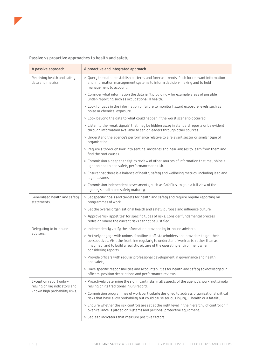#### Passive vs proactive approaches to health and safety

| A passive approach                                                                        | A proactive and integrated approach                                                                                                                                                                                                                                                       |
|-------------------------------------------------------------------------------------------|-------------------------------------------------------------------------------------------------------------------------------------------------------------------------------------------------------------------------------------------------------------------------------------------|
| Receiving health and safety<br>data and metrics.                                          | > Query the data to establish patterns and forecast trends. Push for relevant information<br>and information management systems to inform decision-making and to hold<br>management to account.                                                                                           |
|                                                                                           | > Consider what information the data isn't providing - for example areas of possible<br>under-reporting such as occupational ill health.                                                                                                                                                  |
|                                                                                           | > Look for gaps in the information or failure to monitor hazard exposure levels such as<br>noise or chemical exposure.                                                                                                                                                                    |
|                                                                                           | > Look beyond the data to what could happen if the worst scenario occurred.                                                                                                                                                                                                               |
|                                                                                           | > Listen to the 'weak signals' that may be hidden away in standard reports or be evident<br>through information available to senior leaders through other sources.                                                                                                                        |
|                                                                                           | > Understand the agency's performance relative to a relevant sector or similar type of<br>organisation.                                                                                                                                                                                   |
|                                                                                           | > Require a thorough look into sentinel incidents and near-misses to learn from them and<br>find the root causes.                                                                                                                                                                         |
|                                                                                           | > Commission a deeper analytics review of other sources of information that may shine a<br>light on health and safety performance and risk.                                                                                                                                               |
|                                                                                           | > Ensure that there is a balance of health, safety and wellbeing metrics, including lead and<br>lag measures.                                                                                                                                                                             |
|                                                                                           | > Commission independent assessments, such as SafePlus, to gain a full view of the<br>agency's health and safety maturity.                                                                                                                                                                |
| Generalised health and safety<br>statements.                                              | > Set specific goals and targets for health and safety and require regular reporting on<br>programmes of work.                                                                                                                                                                            |
|                                                                                           | > Set the overall organisational health and safety purpose and influence culture.                                                                                                                                                                                                         |
|                                                                                           | > Approve 'risk appetites' for specific types of risks. Consider fundamental process<br>redesign where the current risks cannot be justified.                                                                                                                                             |
| Delegating to in-house                                                                    | > Independently verify the information provided by in-house advisers.                                                                                                                                                                                                                     |
| advisers.                                                                                 | > Actively engage with unions, frontline staff, stakeholders and providers to get their<br>perspectives. Visit the front line regularly to understand 'work as is, rather than as<br>imagined' and to build a realistic picture of the operating environment when<br>considering reports. |
|                                                                                           | > Provide officers with regular professional development in governance and health<br>and safety.                                                                                                                                                                                          |
|                                                                                           | > Have specific responsibilities and accountabilities for health and safety acknowledged in<br>officers' position descriptions and performance reviews.                                                                                                                                   |
| Exception report only -<br>relying on lag indicators and<br>known high probability risks. | > Proactively determine the significant risks in all aspects of the agency's work, not simply<br>relying on its traditional injury record.                                                                                                                                                |
|                                                                                           | > Commission programmes of work particularly designed to address organisational critical<br>risks that have a low probability but could cause serious injury, ill health or a fatality.                                                                                                   |
|                                                                                           | > Enquire whether the risk controls are set at the right level in the hierarchy of control or if<br>over-reliance is placed on systems and personal protective equipment.                                                                                                                 |
|                                                                                           | > Set lead indicators that measure positive factors.                                                                                                                                                                                                                                      |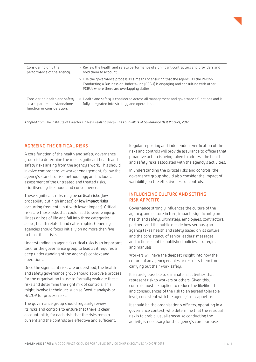<span id="page-8-0"></span>

| Considering only the<br>performance of the agency.                                          | > Review the health and safety performance of significant contractors and providers and<br>hold them to account.                                                                                                    |
|---------------------------------------------------------------------------------------------|---------------------------------------------------------------------------------------------------------------------------------------------------------------------------------------------------------------------|
|                                                                                             | > Use the governance process as a means of ensuring that the agency as the Person<br>Conducting a Business or Undertaking (PCBU) is engaging and consulting with other<br>PCBUs where there are overlapping duties. |
| Considering health and safety<br>as a separate and standalone<br>function or consideration. | > Health and safety is considered across all management and governance functions and is<br>fully integrated into strategy and operations.                                                                           |

*Adapted from* The Institute of Directors in New Zealand (Inc) – *The Four Pillars of Governance Best Practice, 2017.*

#### AGREEING THE CRITICAL RISKS

A core function of the health and safety governance group is to determine the most significant health and safety risks arising from the agency's work. This should involve comprehensive worker engagement, follow the agency's standard risk methodology and include an assessment of the untreated and treated risks, prioritised by likelihood and consequence.

These significant risks may be **critical risks** (low probability but high impact) or **low impact risks** (occurring frequently but with lower impact). Critical risks are those risks that could lead to severe injury, illness or loss of life and fall into three categories; acute, health related, and catastrophic. Generally agencies should focus initially on no more than five to ten critical risks.

Understanding an agency's critical risks is an important task for the governance group to lead as it requires a deep understanding of the agency's context and operations.

Once the significant risks are understood, the health and safety governance group should approve a process for the organisation to use to formally evaluate these risks and determine the right mix of controls. This might involve techniques such as Bowtie analysis or HAZOP for process risks.

The governance group should regularly review its risks and controls to ensure that there is clear accountability for each risk, that the risks remain current and the controls are effective and sufficient.

Regular reporting and independent verification of the risks and controls will provide assurance to officers that proactive action is being taken to address the health and safety risks associated with the agency's activities.

In understanding the critical risks and controls, the governance group should also consider the impact of variability on the effectiveness of controls.

#### INFLUENCING CULTURE AND SETTING RISK APPETITE

Governance strongly influences the culture of the agency, and culture in turn, impacts significantly on health and safety. Ultimately, employees, contractors, partners and the public decide how seriously an agency takes health and safety based on its culture and the consistency of senior leaders' messages and actions - not its published policies, strategies and manuals.

Workers will have the deepest insight into how the culture of an agency enables or restricts them from carrying out their work safely.

It is rarely possible to eliminate all activities that represent risk to workers or others. Given this, controls must be applied to reduce the likelihood and consequences of the risk to an agreed tolerable level, consistent with the agency's risk appetite.

It should be the organisation's officers, operating in a governance context, who determine that the residual risk is tolerable, usually because conducting the activity is necessary for the agency's core purpose.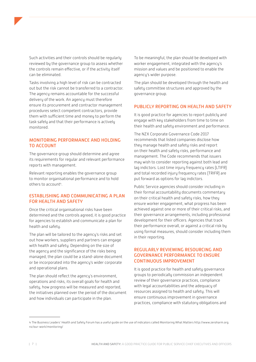<span id="page-9-0"></span>

Tasks involving a high level of risk can be contracted out but the risk cannot be transferred to a contractor. The agency remains accountable for the successful delivery of the work. An agency must therefore ensure its procurement and contractor management procedures select competent contractors, provide them with sufficient time and money to perform the task safely and that their performance is actively monitored.

### MONITORING PERFORMANCE AND HOLDING TO ACCOUNT

The governance group should determine and agree its requirements for regular and relevant performance reports with management.

Relevant reporting enables the governance group to monitor organisational performance and to hold others to account4.

#### ESTABLISHING AND COMMUNICATING A PLAN FOR HEALTH AND SAFETY

Once the critical organisational risks have been determined and the controls agreed, it is good practice for agencies to establish and communicate a plan for health and safety.

The plan will be tailored to the agency's risks and set out how workers, suppliers and partners can engage with health and safety. Depending on the size of the agency and the significance of the risks being managed, the plan could be a stand-alone document or be incorporated into the agency's wider corporate and operational plans.

The plan should reflect the agency's environment, operations and risks, its overall goals for health and safety, how progress will be measured and reported, the initiatives planned over the period of the document and how individuals can participate in the plan.

To be meaningful, the plan should be developed with worker engagement, integrated with the agency's mission and values and be positioned to enable the agency's wider purpose.

The plan should be developed through the health and safety committee structures and approved by the governance group.

#### PUBLICLY REPORTING ON HEALTH AND SAFETY

It is good practice for agencies to report publicly and engage with key stakeholders from time to time on their health and safety environment and performance.

The NZX Corporate Governance Code 2017 recommends that listed companies disclose how they manage health and safety risks and report on their health and safety risks, performance and management. The Code recommends that issuers may wish to consider reporting against both lead and lag indictors. Lost time injury frequency rates (LTIFR) and total recorded injury frequency rates (TRIFR) are put forward as options for lag indictors.

Public Service agencies should consider including in their formal accountability documents commentary on their critical health and safety risks, how they ensure worker engagement, what progress has been achieved against one or more of their critical risks, and their governance arrangements, including professional development for their officers. Agencies that track their performance overall, or against a critical risk by using formal measures, should consider including them in their reporting.

#### REGULARLY REVIEWING RESOURCING AND GOVERNANCE PERFORMANCE TO ENSURE CONTINUOUS IMPROVEMENT

It is good practice for health and safety governance groups to periodically commission an independent review of their governance practices, compliance with legal accountabilities and the adequacy of resources assigned to health and safety. This will ensure continuous improvement in governance practices, compliance with statutory obligations and

<sup>4</sup> The Business Leaders' Health and Safety Forum has a useful guide on the use of indicators called Monitoring What Matters http://www.zeroharm.org. nz/our-work/monitoring/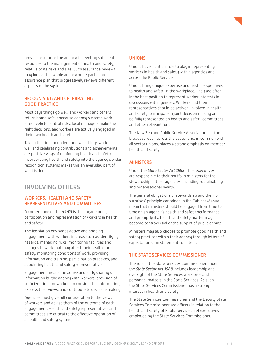<span id="page-10-0"></span>provide assurance the agency is devoting sufficient resources to the management of health and safety, relative to its risks and size. Such assurance reviews may look at the whole agency or be part of an assurance plan that progressively reviews different aspects of the system.

#### RECOGNISING AND CELEBRATING GOOD PRACTICE

Most days things go well, and workers and others return home safely because agency systems work effectively to control risks, local managers make the right decisions, and workers are actively engaged in their own health and safety.

Taking the time to understand why things work well and celebrating contributions and achievements are positive ways of reinforcing health and safety. Incorporating health and safety into the agency's wider recognition systems makes this an everyday part of what is done.

## INVOLVING OTHERS

### WORKERS, HEALTH AND SAFETY REPRESENTATIVES AND COMMITTEES

A cornerstone of the *HSWA* is the engagement, participation and representation of workers in health and safety.

The legislation envisages active and ongoing engagement with workers in areas such as identifying hazards, managing risks, monitoring facilities and changes to work that may affect their health and safety, monitoring conditions of work, providing information and training, participation practices, and appointing health and safety representatives.

Engagement means the active and early sharing of information by the agency with workers, provision of sufficient time for workers to consider the information, express their views, and contribute to decision-making.

Agencies must give full consideration to the views of workers and advise them of the outcome of each engagement. Health and safety representatives and committees are critical to the effective operation of a health and safety system.

#### UNIONS

Unions have a critical role to play in representing workers in health and safety within agencies and across the Public Service.

Unions bring unique expertise and fresh perspectives to health and safety in the workplace. They are often in the best position to represent worker interests in discussions with agencies. Workers and their representatives should be actively involved in health and safety, participate in joint decision making and be fully represented on health and safety committees and other relevant fora.

The New Zealand Public Service Association has the broadest reach across the sector and, in common with all sector unions, places a strong emphasis on member health and safety.

## **MINISTERS**

Under the *State Sector Act 1988*, chief executives are responsible to their portfolio ministers for the stewardship of their agencies, including sustainability and organisational health.

The general obligations of stewardship and the 'no surprises' principle contained in the Cabinet Manual mean that ministers should be engaged from time to time on an agency's health and safety performance, and promptly if a health and safety matter may become controversial or the subject of public debate.

Ministers may also choose to promote good health and safety practices within their agency through letters of expectation or in statements of intent.

### THE STATE SERVICES COMMISSIONER

The role of the State Services Commissioner under the *State Sector Act 1988* includes leadership and oversight of the State Services workforce and personnel matters in the State Services. As such, the State Services Commissioner has a strong interest in health and safety.

The State Services Commissioner and the Deputy State Services Commissioner are officers in relation to the health and safety of Public Service chief executives employed by the State Services Commissioner.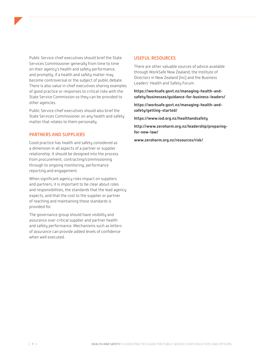<span id="page-11-0"></span>Public Service chief executives should brief the State Services Commissioner generally from time to time on their agency's health and safety performance, and promptly, if a health and safety matter may become controversial or the subject of public debate. There is also value in chief executives sharing examples of good practice or responses to critical risks with the State Service Commission so they can be provided to other agencies.

Public Service chief executives should also brief the State Services Commissioner on any health and safety matter that relates to them personally.

### PARTNERS AND SUPPLIERS

Good practice has health and safety considered as a dimension in all aspects of a partner or supplier relationship. It should be designed into the process from procurement, contracting/commissioning through to ongoing monitoring, performance reporting and engagement.

When significant agency risks impact on suppliers and partners, it is important to be clear about roles and responsibilities, the standards that the lead agency expects, and that the cost to the supplier or partner of reaching and maintaining these standards is provided for.

The governance group should have visibility and assurance over critical supplier and partner health and safety performance. Mechanisms such as letters of assurance can provide added levels of confidence when well executed.

#### USEFUL RESOURCES

There are other valuable sources of advice available through WorkSafe New Zealand, the Institute of Directors in New Zealand (Inc) and the Business Leaders' Health and Safety Forum.

**[https://worksafe.govt.nz/managing-health-and](https://worksafe.govt.nz/managing-health-and-safety/businesses/guidance-for-business-leaders/)[safety/businesses/guidance-for-business-leaders/](https://worksafe.govt.nz/managing-health-and-safety/businesses/guidance-for-business-leaders/)**

**[https://worksafe.govt.nz/managing-health-and](https://worksafe.govt.nz/managing-health-and-safety/getting-started/)[safety/getting-started/](https://worksafe.govt.nz/managing-health-and-safety/getting-started/)**

**<https://www.iod.org.nz/healthandsafety>**

**[http://www.zeroharm.org.nz/leadership/preparing](http://www.zeroharm.org.nz/leadership/preparing-for-new-law/)[for-new-law/](http://www.zeroharm.org.nz/leadership/preparing-for-new-law/)**

**[www.zeroharm.org.nz/resources/risk/](http://www.zeroharm.org.nz/resources/risk/)**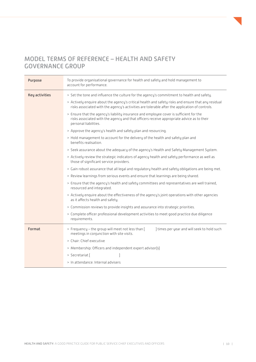# <span id="page-12-0"></span>MODEL TERMS OF REFERENCE – HEALTH AND SAFETY GOVERNANCE GROUP

| <b>Purpose</b>        | To provide organisational governance for health and safety and hold management to<br>account for performance.                                                                                                 |
|-----------------------|---------------------------------------------------------------------------------------------------------------------------------------------------------------------------------------------------------------|
| <b>Key activities</b> | > Set the tone and influence the culture for the agency's commitment to health and safety.                                                                                                                    |
|                       | > Actively enquire about the agency's critical health and safety risks and ensure that any residual<br>risks associated with the agency's activities are tolerable after the application of controls.         |
|                       | > Ensure that the agency's liability insurance and employee cover is sufficient for the<br>risks associated with the agency and that officers receive appropriate advice as to their<br>personal liabilities. |
|                       | > Approve the agency's health and safety plan and resourcing.                                                                                                                                                 |
|                       | > Hold management to account for the delivery of the health and safety plan and<br>benefits realisation.                                                                                                      |
|                       | > Seek assurance about the adequacy of the agency's Health and Safety Management System.                                                                                                                      |
|                       | > Actively review the strategic indicators of agency health and safety performance as well as<br>those of significant service providers.                                                                      |
|                       | > Gain robust assurance that all legal and regulatory health and safety obligations are being met.                                                                                                            |
|                       | > Review learnings from serious events and ensure that learnings are being shared.                                                                                                                            |
|                       | > Ensure that the agency's health and safety committees and representatives are well trained,<br>resourced and integrated.                                                                                    |
|                       | > Actively enquire about the effectiveness of the agency's joint operations with other agencies<br>as it affects health and safety.                                                                           |
|                       | > Commission reviews to provide insights and assurance into strategic priorities.                                                                                                                             |
|                       | > Complete officer professional development activities to meet good practice due diligence<br>requirements.                                                                                                   |
| Format                | > Frequency - the group will meet not less than [<br>I times per year and will seek to hold such<br>meetings in conjunction with site visits.                                                                 |
|                       | > Chair: Chief executive                                                                                                                                                                                      |
|                       | > Membership: Officers and independent expert advisor(s)                                                                                                                                                      |
|                       | > Secretariat [                                                                                                                                                                                               |
|                       | > In attendance: Internal advisers                                                                                                                                                                            |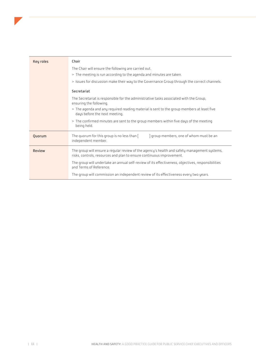<span id="page-13-0"></span>

| <b>Key roles</b> | Chair                                                                                                                                                                 |
|------------------|-----------------------------------------------------------------------------------------------------------------------------------------------------------------------|
|                  | The Chair will ensure the following are carried out.                                                                                                                  |
|                  | > The meeting is run according to the agenda and minutes are taken.                                                                                                   |
|                  | > Issues for discussion make their way to the Governance Group through the correct channels.                                                                          |
|                  | Secretariat                                                                                                                                                           |
|                  | The Secretariat is responsible for the administrative tasks associated with the Group,<br>ensuring the following.                                                     |
|                  | > The agenda and any required reading material is sent to the group members at least five<br>days before the next meeting.                                            |
|                  | > The confirmed minutes are sent to the group members within five days of the meeting<br>being held.                                                                  |
| Quorum           | The quorum for this group is no less than $\lceil$<br>group members, one of whom must be an<br>independent member.                                                    |
| Review           | The group will ensure a regular review of the agency's health and safety management systems,<br>risks, controls, resources and plan to ensure continuous improvement. |
|                  | The group will undertake an annual self-review of its effectiveness, objectives, responsibilities<br>and Terms of Reference.                                          |
|                  | The group will commission an independent review of its effectiveness every two years.                                                                                 |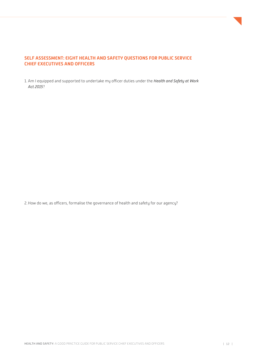### **SELF ASSESSMENT: EIGHT HEALTH AND SAFETY QUESTIONS FOR PUBLIC SERVICE CHIEF EXECUTIVES AND OFFICERS**

1. Am I equipped and supported to undertake my officer duties under the *Health and Safety at Work Act 2015*?

2.How do we, as officers, formalise the governance of health and safety for our agency?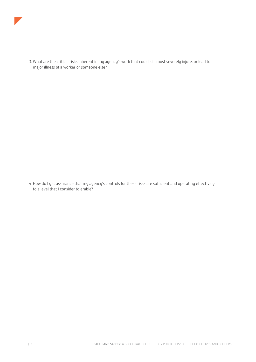<span id="page-15-0"></span>

3. What are the critical risks inherent in my agency's work that could kill, most severely injure, or lead to major illness of a worker or someone else?

4.How do I get assurance that my agency's controls for these risks are sufficient and operating effectively to a level that I consider tolerable?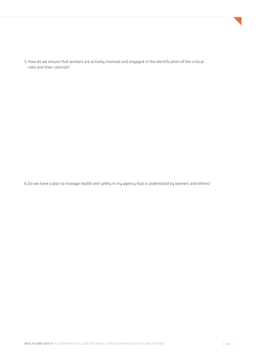

5.How do we ensure that workers are actively involved and engaged in the identification of the critical risks and their controls?

6.Do we have a plan to manage health and safety in my agency that is understood by workers and others?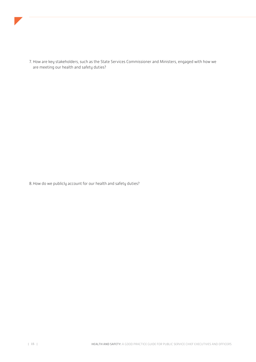

7. How are key stakeholders, such as the State Services Commissioner and Ministers, engaged with how we are meeting our health and safety duties?

8.How do we publicly account for our health and safety duties?